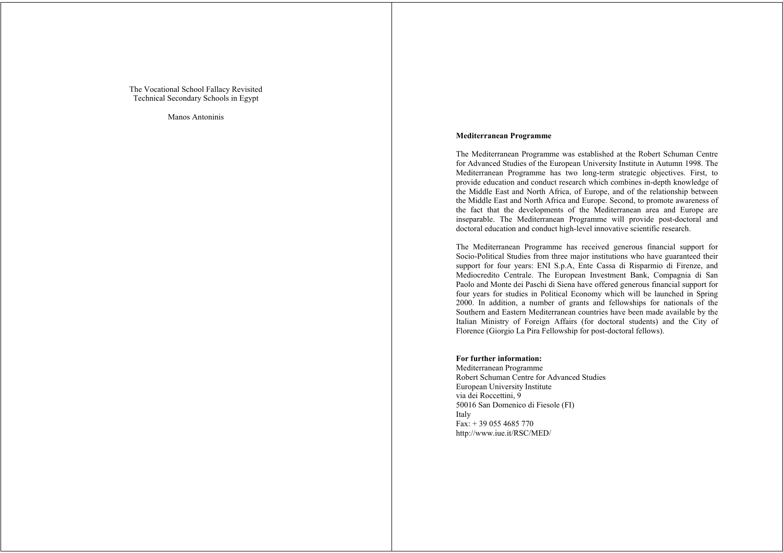The Vocational School Fallacy Revisited Technical Secondary Schools in Egypt

Manos Antoninis

## **Mediterranean Programme**

The Mediterranean Programme was established at the Robert Schuman Centre for Advanced Studies of the European University Institute in Autumn 1998. The Mediterranean Programme has two long-term strategic objectives. First, to provide education and conduct research which combines in-depth knowledge of the Middle East and North Africa, of Europe, and of the relationship between the Middle East and North Africa and Europe. Second, to promote awareness of the fact that the developments of the Mediterranean area and Europe are inseparable. The Mediterranean Programme will provide post-doctoral and doctoral education and conduct high-level innovative scientific research.

The Mediterranean Programme has received generous financial support for Socio-Political Studies from three major institutions who have guaranteed their support for four years: ENI S.p.A, Ente Cassa di Risparmio di Firenze, and Mediocredito Centrale. The European Investment Bank, Compagnia di San Paolo and Monte dei Paschi di Siena have offered generous financial support for four years for studies in Political Economy which will be launched in Spring 2000. In addition, a number of grants and fellowships for nationals of the Southern and Eastern Mediterranean countries have been made available by the Italian Ministry of Foreign Affairs (for doctoral students) and the City of Florence (Giorgio La Pira Fellowship for post-doctoral fellows).

## **For further information:**

Mediterranean Programme Robert Schuman Centre for Advanced Studies European University Institute via dei Roccettini, 9 50016 San Domenico di Fiesole (FI) Italy  $Fax: + 390554685770$ http://www.iue.it/RSC/MED/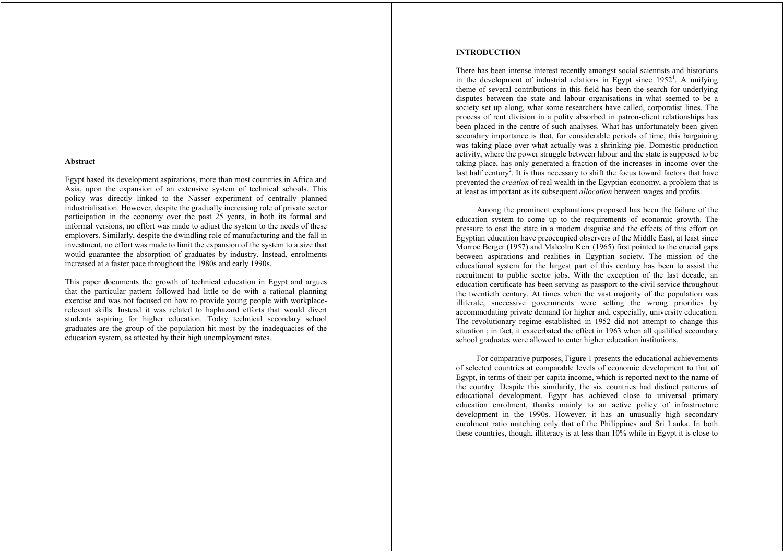#### **Abstract**

Egypt based its development aspirations, more than most countries in Africa and Asia, upon the expansion of an extensive system of technical schools. This policy was directly linked to the Nasser experiment of centrally planned industrialisation. However, despite the gradually increasing role of private sector participation in the economy over the past 25 years, in both its formal and informal versions, no effort was made to adjust the system to the needs of these employers. Similarly, despite the dwindling role of manufacturing and the fall in investment, no effort was made to limit the expansion of the system to a size that would guarantee the absorption of graduates by industry. Instead, enrolments increased at a faster pace throughout the 1980s and early 1990s.

This paper documents the growth of technical education in Egypt and argues that the particular pattern followed had little to do with a rational planning exercise and was not focused on how to provide young people with workplacerelevant skills. Instead it was related to haphazard efforts that would divert students aspiring for higher education. Today technical secondary school graduates are the group of the population hit most by the inadequacies of the education system, as attested by their high unemployment rates.

# **INTRODUCTION**

There has been intense interest recently amongst social scientists and historians in the development of industrial relations in Egypt since  $1952<sup>1</sup>$ . A unifying theme of several contributions in this field has been the search for underlying disputes between the state and labour organisations in what seemed to be a society set up along, what some researchers have called, corporatist lines. The process of rent division in a polity absorbed in patron-client relationships has been placed in the centre of such analyses. What has unfortunately been given secondary importance is that, for considerable periods of time, this bargaining was taking place over what actually was a shrinking pie. Domestic production activity, where the power struggle between labour and the state is supposed to be taking place, has only generated a fraction of the increases in income over the last half century<sup>2</sup>. It is thus necessary to shift the focus toward factors that have prevented the *creation* of real wealth in the Egyptian economy, a problem that is at least as important as its subsequent *allocation* between wages and profits.

Among the prominent explanations proposed has been the failure of the education system to come up to the requirements of economic growth. The pressure to cast the state in a modern disguise and the effects of this effort on Egyptian education have preoccupied observers of the Middle East, at least since Morroe Berger (1957) and Malcolm Kerr (1965) first pointed to the crucial gaps between aspirations and realities in Egyptian society. The mission of the educational system for the largest part of this century has been to assist the recruitment to public sector jobs. With the exception of the last decade, an education certificate has been serving as passport to the civil service throughout the twentieth century. At times when the vast majority of the population was illiterate, successive governments were setting the wrong priorities by accommodating private demand for higher and, especially, university education. The revolutionary regime established in 1952 did not attempt to change this situation ; in fact, it exacerbated the effect in 1963 when all qualified secondary school graduates were allowed to enter higher education institutions.

For comparative purposes, Figure 1 presents the educational achievements of selected countries at comparable levels of economic development to that of Egypt, in terms of their per capita income, which is reported next to the name of the country. Despite this similarity, the six countries had distinct patterns of educational development. Egypt has achieved close to universal primary education enrolment, thanks mainly to an active policy of infrastructure development in the 1990s. However, it has an unusually high secondary enrolment ratio matching only that of the Philippines and Sri Lanka. In both these countries, though, illiteracy is at less than 10% while in Egypt it is close to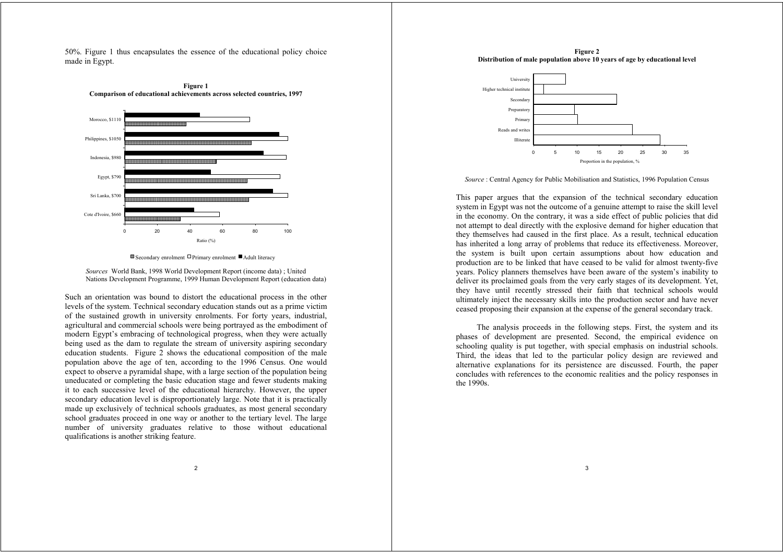50%. Figure 1 thus encapsulates the essence of the educational policy choice made in Egypt.





*Sources* World Bank, 1998 World Development Report (income data) ; United Nations Development Programme, 1999 Human Development Report (education data)

Such an orientation was bound to distort the educational process in the other levels of the system. Technical secondary education stands out as a prime victim of the sustained growth in university enrolments. For forty years, industrial, agricultural and commercial schools were being portrayed as the embodiment of modern Egypt's embracing of technological progress, when they were actually being used as the dam to regulate the stream of university aspiring secondary education students. Figure 2 shows the educational composition of the male population above the age of ten, according to the 1996 Census. One would expect to observe a pyramidal shape, with a large section of the population being uneducated or completing the basic education stage and fewer students making it to each successive level of the educational hierarchy. However, the upper secondary education level is disproportionately large. Note that it is practically made up exclusively of technical schools graduates, as most general secondary school graduates proceed in one way or another to the tertiary level. The large number of university graduates relative to those without educational qualifications is another striking feature.

**Figure 2 Distribution of male population above 10 years of age by educational level**



*Source* : Central Agency for Public Mobilisation and Statistics, 1996 Population Census

This paper argues that the expansion of the technical secondary education system in Egypt was not the outcome of a genuine attempt to raise the skill level in the economy. On the contrary, it was a side effect of public policies that did not attempt to deal directly with the explosive demand for higher education that they themselves had caused in the first place. As a result, technical education has inherited a long array of problems that reduce its effectiveness. Moreover, the system is built upon certain assumptions about how education and production are to be linked that have ceased to be valid for almost twenty-five years. Policy planners themselves have been aware of the system's inability to deliver its proclaimed goals from the very early stages of its development. Yet, they have until recently stressed their faith that technical schools would ultimately inject the necessary skills into the production sector and have never ceased proposing their expansion at the expense of the general secondary track.

The analysis proceeds in the following steps. First, the system and its phases of development are presented. Second, the empirical evidence on schooling quality is put together, with special emphasis on industrial schools. Third, the ideas that led to the particular policy design are reviewed and alternative explanations for its persistence are discussed. Fourth, the paper concludes with references to the economic realities and the policy responses in the 1990s.

**E** Secondary enrolment  $\Box$  Primary enrolment ■ Adult literacy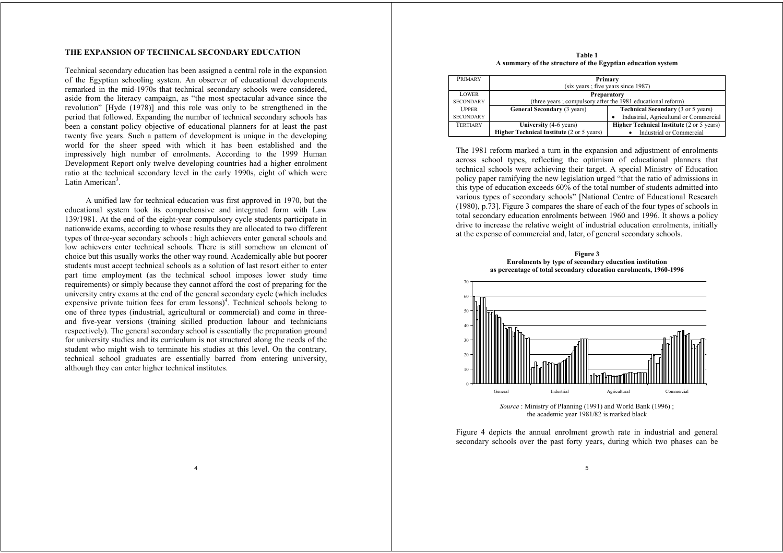## **THE EXPANSION OF TECHNICAL SECONDARY EDUCATION**

Technical secondary education has been assigned a central role in the expansion of the Egyptian schooling system. An observer of educational developments remarked in the mid-1970s that technical secondary schools were considered, aside from the literacy campaign, as "the most spectacular advance since the revolution" [Hyde (1978)] and this role was only to be strengthened in the period that followed. Expanding the number of technical secondary schools has been a constant policy objective of educational planners for at least the past twenty five years. Such a pattern of development is unique in the developing world for the sheer speed with which it has been established and the impressively high number of enrolments. According to the 1999 Human Development Report only twelve developing countries had a higher enrolment ratio at the technical secondary level in the early 1990s, eight of which were Latin American<sup>3</sup>.

A unified law for technical education was first approved in 1970, but the educational system took its comprehensive and integrated form with Law 139/1981. At the end of the eight-year compulsory cycle students participate in nationwide exams, according to whose results they are allocated to two different types of three-year secondary schools : high achievers enter general schools and low achievers enter technical schools. There is still somehow an element of choice but this usually works the other way round. Academically able but poorer students must accept technical schools as a solution of last resort either to enter part time employment (as the technical school imposes lower study time requirements) or simply because they cannot afford the cost of preparing for the university entry exams at the end of the general secondary cycle (which includes expensive private tuition fees for cram lessons)<sup>4</sup>. Technical schools belong to one of three types (industrial, agricultural or commercial) and come in threeand five-year versions (training skilled production labour and technicians respectively). The general secondary school is essentially the preparation ground for university studies and its curriculum is not structured along the needs of the student who might wish to terminate his studies at this level. On the contrary, technical school graduates are essentially barred from entering university, although they can enter higher technical institutes.

4

**Table 1 A summary of the structure of the Egyptian education system**

| <b>PRIMARY</b>   | Primary                                                      |                                                  |  |
|------------------|--------------------------------------------------------------|--------------------------------------------------|--|
|                  | (six years ; five years since 1987)                          |                                                  |  |
| <b>LOWER</b>     | <b>Preparatory</b>                                           |                                                  |  |
| <b>SECONDARY</b> | (three years ; compulsory after the 1981 educational reform) |                                                  |  |
| <b>UPPER</b>     | <b>General Secondary (3 years)</b>                           | <b>Technical Secondary (3 or 5 years)</b>        |  |
| <b>SECONDARY</b> |                                                              | Industrial, Agricultural or Commercial           |  |
| <b>TERTIARY</b>  | University (4-6 years)                                       | <b>Higher Technical Institute (2 or 5 years)</b> |  |
|                  | Higher Technical Institute (2 or 5 years)                    | Industrial or Commercial                         |  |

The 1981 reform marked a turn in the expansion and adjustment of enrolments across school types, reflecting the optimism of educational planners that technical schools were achieving their target. A special Ministry of Education policy paper ramifying the new legislation urged "that the ratio of admissions in this type of education exceeds 60% of the total number of students admitted into various types of secondary schools" [National Centre of Educational Research (1980), p.73]. Figure 3 compares the share of each of the four types of schools in total secondary education enrolments between 1960 and 1996. It shows a policy drive to increase the relative weight of industrial education enrolments, initially at the expense of commercial and, later, of general secondary schools.





*Source* : Ministry of Planning (1991) and World Bank (1996) ; the academic year 1981/82 is marked black

Figure 4 depicts the annual enrolment growth rate in industrial and general secondary schools over the past forty years, during which two phases can be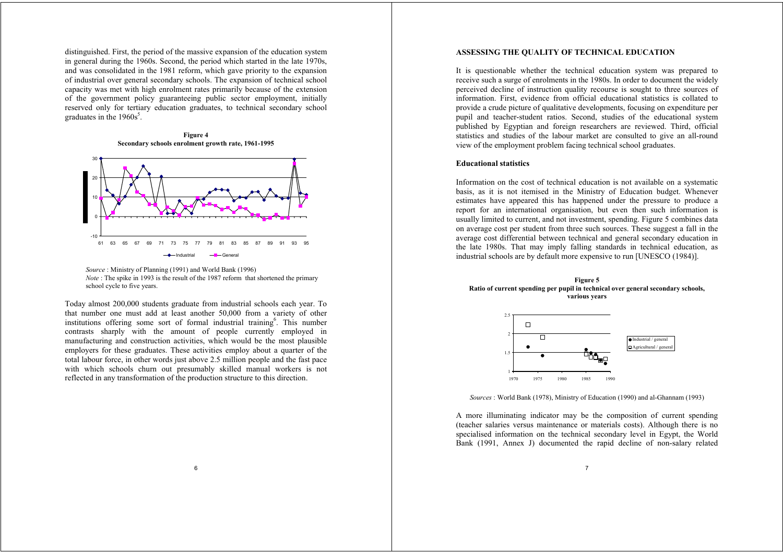distinguished. First, the period of the massive expansion of the education system in general during the 1960s. Second, the period which started in the late 1970s, and was consolidated in the 1981 reform, which gave priority to the expansion of industrial over general secondary schools. The expansion of technical school capacity was met with high enrolment rates primarily because of the extension of the government policy guaranteeing public sector employment, initially reserved only for tertiary education graduates, to technical secondary school graduates in the  $1960s<sup>5</sup>$ .

**Figure 4 Secondary schools enrolment growth rate, 1961-1995**





Today almost 200,000 students graduate from industrial schools each year. To that number one must add at least another 50,000 from a variety of other institutions offering some sort of formal industrial training  $\mathbf{e}$ . This number contrasts sharply with the amount of people currently employed in manufacturing and construction activities, which would be the most plausible employers for these graduates. These activities employ about a quarter of the total labour force, in other words just above 2.5 million people and the fast pace with which schools churn out presumably skilled manual workers is not reflected in any transformation of the production structure to this direction.

## **ASSESSING THE QUALITY OF TECHNICAL EDUCATION**

It is questionable whether the technical education system was prepared to receive such a surge of enrolments in the 1980s. In order to document the widely perceived decline of instruction quality recourse is sought to three sources of information. First, evidence from official educational statistics is collated to provide a crude picture of qualitative developments, focusing on expenditure per pupil and teacher-student ratios. Second, studies of the educational system published by Egyptian and foreign researchers are reviewed. Third, official statistics and studies of the labour market are consulted to give an all-round view of the employment problem facing technical school graduates.

## **Educational statistics**

Information on the cost of technical education is not available on a systematic basis, as it is not itemised in the Ministry of Education budget. Whenever estimates have appeared this has happened under the pressure to produce a report for an international organisation, but even then such information is usually limited to current, and not investment, spending. Figure 5 combines data on average cost per student from three such sources. These suggest a fall in the average cost differential between technical and general secondary education in the late 1980s. That may imply falling standards in technical education, as industrial schools are by default more expensive to run [UNESCO (1984)].





*Sources* : World Bank (1978), Ministry of Education (1990) and al-Ghannam (1993)

A more illuminating indicator may be the composition of current spending (teacher salaries versus maintenance or materials costs). Although there is no specialised information on the technical secondary level in Egypt, the World Bank (1991, Annex J) documented the rapid decline of non-salary related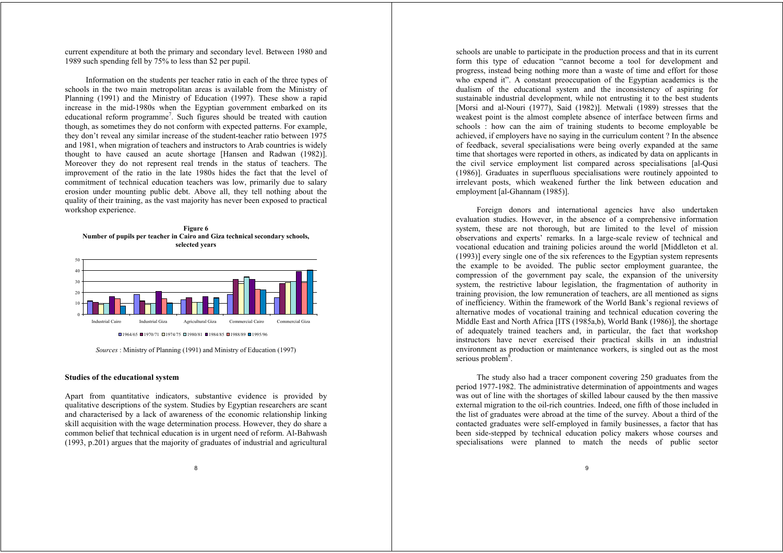current expenditure at both the primary and secondary level. Between 1980 and 1989 such spending fell by 75% to less than \$2 per pupil.

Information on the students per teacher ratio in each of the three types of schools in the two main metropolitan areas is available from the Ministry of Planning (1991) and the Ministry of Education (1997). These show a rapid increase in the mid-1980s when the Egyptian government embarked on its educational reform programme<sup>7</sup>. Such figures should be treated with caution though, as sometimes they do not conform with expected patterns. For example, they don't reveal any similar increase of the student-teacher ratio between 1975 and 1981, when migration of teachers and instructors to Arab countries is widely thought to have caused an acute shortage [Hansen and Radwan (1982)]. Moreover they do not represent real trends in the status of teachers. The improvement of the ratio in the late 1980s hides the fact that the level of commitment of technical education teachers was low, primarily due to salary erosion under mounting public debt. Above all, they tell nothing about the quality of their training, as the vast majority has never been exposed to practical workshop experience.





*Sources* : Ministry of Planning (1991) and Ministry of Education (1997)

#### **Studies of the educational system**

Apart from quantitative indicators, substantive evidence is provided by qualitative descriptions of the system. Studies by Egyptian researchers are scant and characterised by a lack of awareness of the economic relationship linking skill acquisition with the wage determination process. However, they do share a common belief that technical education is in urgent need of reform. Al-Bahwash (1993, p.201) argues that the majority of graduates of industrial and agricultural

schools are unable to participate in the production process and that in its current form this type of education "cannot become a tool for development and progress, instead being nothing more than a waste of time and effort for those who expend it". A constant preoccupation of the Egyptian academics is the dualism of the educational system and the inconsistency of aspiring for sustainable industrial development, while not entrusting it to the best students [Morsi and al-Nouri (1977), Said (1982)]. Metwali (1989) stresses that the weakest point is the almost complete absence of interface between firms and schools : how can the aim of training students to become employable be achieved, if employers have no saying in the curriculum content ? In the absence of feedback, several specialisations were being overly expanded at the same time that shortages were reported in others, as indicated by data on applicants in the civil service employment list compared across specialisations [al-Qusi (1986)]. Graduates in superfluous specialisations were routinely appointed to irrelevant posts, which weakened further the link between education and employment [al-Ghannam (1985)].

Foreign donors and international agencies have also undertaken evaluation studies. However, in the absence of a comprehensive information system, these are not thorough, but are limited to the level of mission observations and experts' remarks. In a large-scale review of technical and vocational education and training policies around the world [Middleton et al. (1993)] every single one of the six references to the Egyptian system represents the example to be avoided. The public sector employment guarantee, the compression of the government pay scale, the expansion of the university system, the restrictive labour legislation, the fragmentation of authority in training provision, the low remuneration of teachers, are all mentioned as signs of inefficiency. Within the framework of the World Bank's regional reviews of alternative modes of vocational training and technical education covering the Middle East and North Africa [ITS (1985a,b), World Bank (1986)], the shortage of adequately trained teachers and, in particular, the fact that workshop instructors have never exercised their practical skills in an industrial environment as production or maintenance workers, is singled out as the most serious problem<sup>8</sup>.

The study also had a tracer component covering 250 graduates from the period 1977-1982. The administrative determination of appointments and wages was out of line with the shortages of skilled labour caused by the then massive external migration to the oil-rich countries. Indeed, one fifth of those included in the list of graduates were abroad at the time of the survey. About a third of the contacted graduates were self-employed in family businesses, a factor that has been side-stepped by technical education policy makers whose courses and specialisations were planned to match the needs of public sector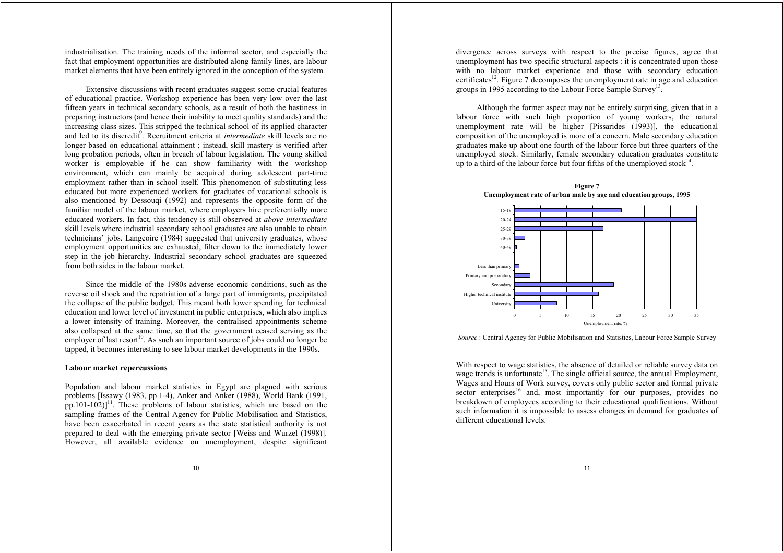industrialisation. The training needs of the informal sector, and especially the fact that employment opportunities are distributed along family lines, are labour market elements that have been entirely ignored in the conception of the system.

Extensive discussions with recent graduates suggest some crucial features of educational practice. Workshop experience has been very low over the last fifteen years in technical secondary schools, as a result of both the hastiness in preparing instructors (and hence their inability to meet quality standards) and the increasing class sizes. This stripped the technical school of its applied character and led to its discredit<sup>9</sup>. Recruitment criteria at *intermediate* skill levels are no longer based on educational attainment ; instead, skill mastery is verified after long probation periods, often in breach of labour legislation. The young skilled worker is employable if he can show familiarity with the workshop environment, which can mainly be acquired during adolescent part-time employment rather than in school itself. This phenomenon of substituting less educated but more experienced workers for graduates of vocational schools is also mentioned by Dessouqi (1992) and represents the opposite form of the familiar model of the labour market, where employers hire preferentially more educated workers. In fact, this tendency is still observed at *above intermediate* skill levels where industrial secondary school graduates are also unable to obtain technicians' jobs. Langeoire (1984) suggested that university graduates, whose employment opportunities are exhausted, filter down to the immediately lower step in the job hierarchy. Industrial secondary school graduates are squeezed from both sides in the labour market.

Since the middle of the 1980s adverse economic conditions, such as the reverse oil shock and the repatriation of a large part of immigrants, precipitated the collapse of the public budget. This meant both lower spending for technical education and lower level of investment in public enterprises, which also implies a lower intensity of training. Moreover, the centralised appointments scheme also collapsed at the same time, so that the government ceased serving as the employer of last resort<sup>10</sup>. As such an important source of jobs could no longer be tapped, it becomes interesting to see labour market developments in the 1990s.

## **Labour market repercussions**

Population and labour market statistics in Egypt are plagued with serious problems [Issawy (1983, pp.1-4), Anker and Anker (1988), World Bank (1991, pp.101-102)] $<sup>11</sup>$ . These problems of labour statistics, which are based on the</sup> sampling frames of the Central Agency for Public Mobilisation and Statistics, have been exacerbated in recent years as the state statistical authority is not prepared to deal with the emerging private sector [Weiss and Wurzel (1998)]. However, all available evidence on unemployment, despite significant

divergence across surveys with respect to the precise figures, agree that unemployment has two specific structural aspects : it is concentrated upon those with no labour market experience and those with secondary education certificates<sup>12</sup>. Figure 7 decomposes the unemployment rate in age and education groups in 1995 according to the Labour Force Sample Survey<sup>13</sup>.

Although the former aspect may not be entirely surprising, given that in a labour force with such high proportion of young workers, the natural unemployment rate will be higher [Pissarides (1993)], the educational composition of the unemployed is more of a concern. Male secondary education graduates make up about one fourth of the labour force but three quarters of the unemployed stock. Similarly, female secondary education graduates constitute up to a third of the labour force but four fifths of the unemployed stock $14$ .



*Source* : Central Agency for Public Mobilisation and Statistics, Labour Force Sample Survey

With respect to wage statistics, the absence of detailed or reliable survey data on wage trends is unfortunate<sup>15</sup>. The single official source, the annual Employment, Wages and Hours of Work survey, covers only public sector and formal private sector enterprises<sup>16</sup> and, most importantly for our purposes, provides no breakdown of employees according to their educational qualifications. Without such information it is impossible to assess changes in demand for graduates of different educational levels.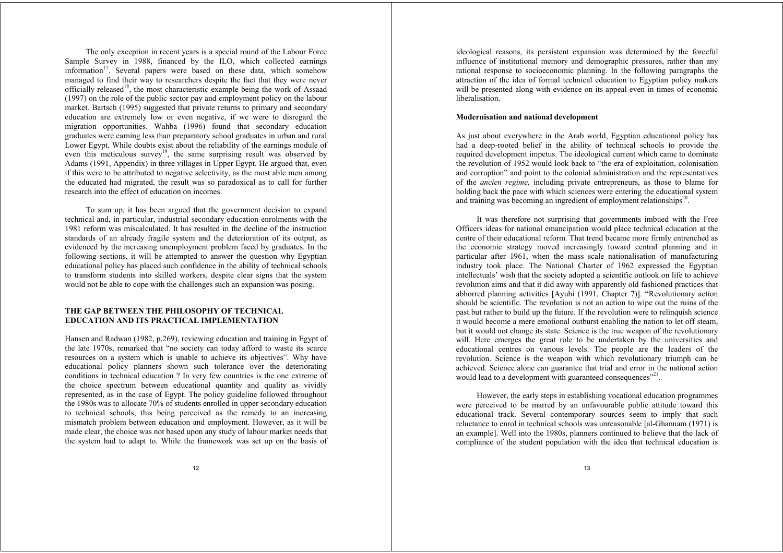The only exception in recent years is a special round of the Labour Force Sample Survey in 1988, financed by the ILO, which collected earnings information<sup>17</sup>. Several papers were based on these data, which somehow managed to find their way to researchers despite the fact that they were never officially released<sup>18</sup>, the most characteristic example being the work of Assaad (1997) on the role of the public sector pay and employment policy on the labour market. Bartsch (1995) suggested that private returns to primary and secondary education are extremely low or even negative, if we were to disregard the migration opportunities. Wahba (1996) found that secondary education graduates were earning less than preparatory school graduates in urban and rural Lower Egypt. While doubts exist about the reliability of the earnings module of even this meticulous survey<sup>19</sup>, the same surprising result was observed by Adams (1991, Appendix) in three villages in Upper Egypt. He argued that, even if this were to be attributed to negative selectivity, as the most able men among the educated had migrated, the result was so paradoxical as to call for further research into the effect of education on incomes.

To sum up, it has been argued that the government decision to expand technical and, in particular, industrial secondary education enrolments with the 1981 reform was miscalculated. It has resulted in the decline of the instruction standards of an already fragile system and the deterioration of its output, as evidenced by the increasing unemployment problem faced by graduates. In the following sections, it will be attempted to answer the question why Egyptian educational policy has placed such confidence in the ability of technical schools to transform students into skilled workers, despite clear signs that the system would not be able to cope with the challenges such an expansion was posing.

# **THE GAP BETWEEN THE PHILOSOPHY OF TECHNICAL EDUCATION AND ITS PRACTICAL IMPLEMENTATION**

Hansen and Radwan (1982, p.269), reviewing education and training in Egypt of the late 1970s, remarked that "no society can today afford to waste its scarce resources on a system which is unable to achieve its objectives". Why have educational policy planners shown such tolerance over the deteriorating conditions in technical education ? In very few countries is the one extreme of the choice spectrum between educational quantity and quality as vividly represented, as in the case of Egypt. The policy guideline followed throughout the 1980s was to allocate 70% of students enrolled in upper secondary education to technical schools, this being perceived as the remedy to an increasing mismatch problem between education and employment. However, as it will be made clear, the choice was not based upon any study of labour market needs that the system had to adapt to. While the framework was set up on the basis of

ideological reasons, its persistent expansion was determined by the forceful influence of institutional memory and demographic pressures, rather than any rational response to socioeconomic planning. In the following paragraphs the attraction of the idea of formal technical education to Egyptian policy makers will be presented along with evidence on its appeal even in times of economic liberalisation.

## **Modernisation and national development**

As just about everywhere in the Arab world, Egyptian educational policy has had a deep-rooted belief in the ability of technical schools to provide the required development impetus. The ideological current which came to dominate the revolution of 1952 would look back to "the era of exploitation, colonisation and corruption" and point to the colonial administration and the representatives of the *ancien regime*, including private entrepreneurs, as those to blame for holding back the pace with which sciences were entering the educational system and training was becoming an ingredient of employment relationships $2^{20}$ .

It was therefore not surprising that governments imbued with the Free Officers ideas for national emancipation would place technical education at the centre of their educational reform. That trend became more firmly entrenched as the economic strategy moved increasingly toward central planning and in particular after 1961, when the mass scale nationalisation of manufacturing industry took place. The National Charter of 1962 expressed the Egyptian intellectuals' wish that the society adopted a scientific outlook on life to achieve revolution aims and that it did away with apparently old fashioned practices that abhorred planning activities [Ayubi (1991, Chapter 7)]. "Revolutionary action should be scientific. The revolution is not an action to wipe out the ruins of the past but rather to build up the future. If the revolution were to relinquish science it would become a mere emotional outburst enabling the nation to let off steam, but it would not change its state. Science is the true weapon of the revolutionary will. Here emerges the great role to be undertaken by the universities and educational centres on various levels. The people are the leaders of the revolution. Science is the weapon with which revolutionary triumph can be achieved. Science alone can guarantee that trial and error in the national action would lead to a development with guaranteed consequences"<sup>21</sup>.

However, the early steps in establishing vocational education programmes were perceived to be marred by an unfavourable public attitude toward this educational track. Several contemporary sources seem to imply that such reluctance to enrol in technical schools was unreasonable [al-Ghannam (1971) is an example]. Well into the 1980s, planners continued to believe that the lack of compliance of the student population with the idea that technical education is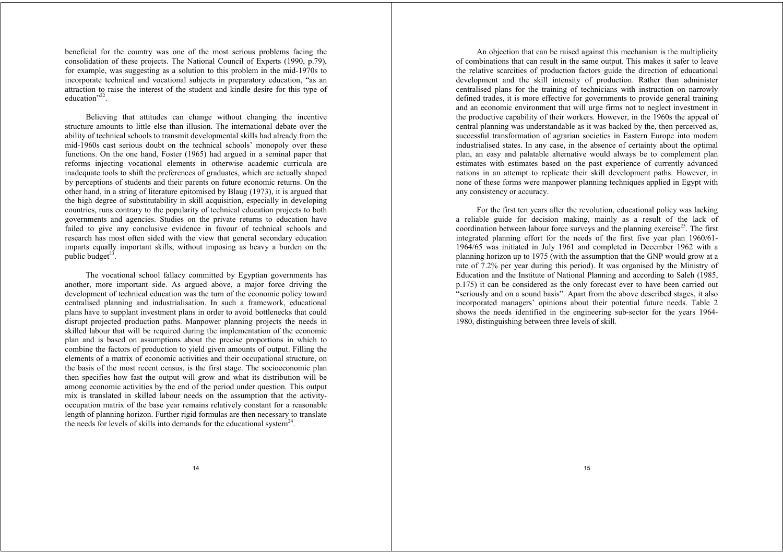beneficial for the country was one of the most serious problems facing the consolidation of these projects. The National Council of Experts (1990, p.79), for example, was suggesting as a solution to this problem in the mid-1970s to incorporate technical and vocational subjects in preparatory education, "as an attraction to raise the interest of the student and kindle desire for this type of education"<sup>22</sup>.

Believing that attitudes can change without changing the incentive structure amounts to little else than illusion. The international debate over the ability of technical schools to transmit developmental skills had already from the mid-1960s cast serious doubt on the technical schools' monopoly over these functions. On the one hand, Foster (1965) had argued in a seminal paper that reforms injecting vocational elements in otherwise academic curricula are inadequate tools to shift the preferences of graduates, which are actually shaped by perceptions of students and their parents on future economic returns. On the other hand, in a string of literature epitomised by Blaug (1973), it is argued that the high degree of substitutability in skill acquisition, especially in developing countries, runs contrary to the popularity of technical education projects to both governments and agencies. Studies on the private returns to education have failed to give any conclusive evidence in favour of technical schools and research has most often sided with the view that general secondary education imparts equally important skills, without imposing as heavy a burden on the public budget $^{23}$ .

The vocational school fallacy committed by Egyptian governments has another, more important side. As argued above, a major force driving the development of technical education was the turn of the economic policy toward centralised planning and industrialisation. In such a framework, educational plans have to supplant investment plans in order to avoid bottlenecks that could disrupt projected production paths. Manpower planning projects the needs in skilled labour that will be required during the implementation of the economic plan and is based on assumptions about the precise proportions in which to combine the factors of production to yield given amounts of output. Filling the elements of a matrix of economic activities and their occupational structure, on the basis of the most recent census, is the first stage. The socioeconomic plan then specifies how fast the output will grow and what its distribution will be among economic activities by the end of the period under question. This output mix is translated in skilled labour needs on the assumption that the activityoccupation matrix of the base year remains relatively constant for a reasonable length of planning horizon. Further rigid formulas are then necessary to translate the needs for levels of skills into demands for the educational system<sup>24</sup>.

An objection that can be raised against this mechanism is the multiplicity of combinations that can result in the same output. This makes it safer to leave the relative scarcities of production factors guide the direction of educational development and the skill intensity of production. Rather than administer centralised plans for the training of technicians with instruction on narrowly defined trades, it is more effective for governments to provide general training and an economic environment that will urge firms not to neglect investment in the productive capability of their workers. However, in the 1960s the appeal of central planning was understandable as it was backed by the, then perceived as, successful transformation of agrarian societies in Eastern Europe into modern industrialised states. In any case, in the absence of certainty about the optimal plan, an easy and palatable alternative would always be to complement plan estimates with estimates based on the past experience of currently advanced nations in an attempt to replicate their skill development paths. However, in none of these forms were manpower planning techniques applied in Egypt with any consistency or accuracy.

For the first ten years after the revolution, educational policy was lacking a reliable guide for decision making, mainly as a result of the lack of coordination between labour force surveys and the planning exercise<sup>25</sup>. The first integrated planning effort for the needs of the first five year plan 1960/61- 1964/65 was initiated in July 1961 and completed in December 1962 with a planning horizon up to 1975 (with the assumption that the GNP would grow at a rate of 7.2% per year during this period). It was organised by the Ministry of Education and the Institute of National Planning and according to Saleh (1985, p.175) it can be considered as the only forecast ever to have been carried out "seriously and on a sound basis". Apart from the above described stages, it also incorporated managers' opinions about their potential future needs. Table 2 shows the needs identified in the engineering sub-sector for the years 1964- 1980, distinguishing between three levels of skill.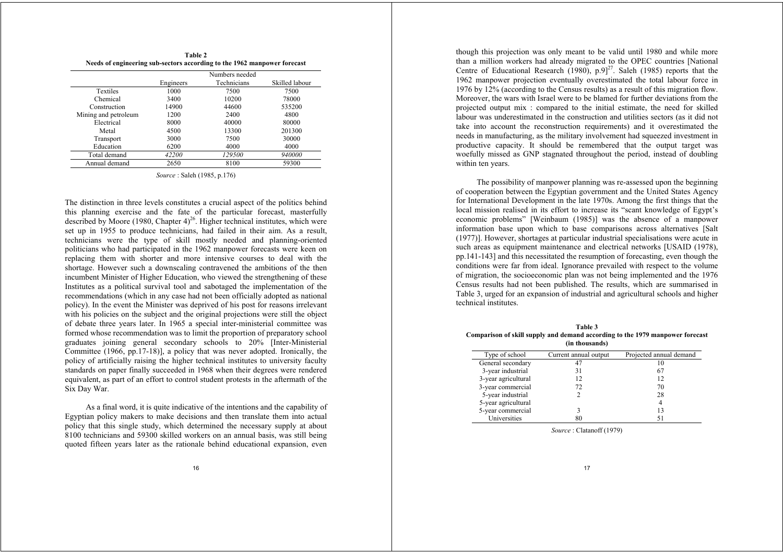|                                                                          | Table 2 |  |
|--------------------------------------------------------------------------|---------|--|
| Needs of engineering sub-sectors according to the 1962 manpower forecast |         |  |

|                      | Numbers needed |             |                |
|----------------------|----------------|-------------|----------------|
|                      | Engineers      | Technicians | Skilled labour |
| Textiles             | 1000           | 7500        | 7500           |
| Chemical             | 3400           | 10200       | 78000          |
| Construction         | 14900          | 44600       | 535200         |
| Mining and petroleum | 1200           | 2400        | 4800           |
| Electrical           | 8000           | 40000       | 80000          |
| Metal                | 4500           | 13300       | 201300         |
| Transport            | 3000           | 7500        | 30000          |
| Education            | 6200           | 4000        | 4000           |
| Total demand         | 42200          | 129500      | 940000         |
| Annual demand        | 2650           | 8100        | 59300          |

*Source* : Saleh (1985, p.176)

The distinction in three levels constitutes a crucial aspect of the politics behind this planning exercise and the fate of the particular forecast, masterfully described by Moore (1980, Chapter  $4$ )<sup>26</sup>. Higher technical institutes, which were set up in 1955 to produce technicians, had failed in their aim. As a result, technicians were the type of skill mostly needed and planning-oriented politicians who had participated in the 1962 manpower forecasts were keen on replacing them with shorter and more intensive courses to deal with the shortage. However such a downscaling contravened the ambitions of the then incumbent Minister of Higher Education, who viewed the strengthening of these Institutes as a political survival tool and sabotaged the implementation of the recommendations (which in any case had not been officially adopted as national policy). In the event the Minister was deprived of his post for reasons irrelevant with his policies on the subject and the original projections were still the object of debate three years later. In 1965 a special inter-ministerial committee was formed whose recommendation was to limit the proportion of preparatory school graduates joining general secondary schools to 20% [Inter-Ministerial Committee (1966, pp.17-18)], a policy that was never adopted. Ironically, the policy of artificially raising the higher technical institutes to university faculty standards on paper finally succeeded in 1968 when their degrees were rendered equivalent, as part of an effort to control student protests in the aftermath of the Six Day War.

As a final word, it is quite indicative of the intentions and the capability of Egyptian policy makers to make decisions and then translate them into actual policy that this single study, which determined the necessary supply at about 8100 technicians and 59300 skilled workers on an annual basis, was still being quoted fifteen years later as the rationale behind educational expansion, even though this projection was only meant to be valid until 1980 and while more than a million workers had already migrated to the OPEC countries [National Centre of Educational Research  $(1980)$ , p.9]<sup>27</sup>. Saleh (1985) reports that the 1962 manpower projection eventually overestimated the total labour force in 1976 by 12% (according to the Census results) as a result of this migration flow. Moreover, the wars with Israel were to be blamed for further deviations from the projected output mix : compared to the initial estimate, the need for skilled labour was underestimated in the construction and utilities sectors (as it did not take into account the reconstruction requirements) and it overestimated the needs in manufacturing, as the military involvement had squeezed investment in productive capacity. It should be remembered that the output target was woefully missed as GNP stagnated throughout the period, instead of doubling within ten years.

The possibility of manpower planning was re-assessed upon the beginning of cooperation between the Egyptian government and the United States Agency for International Development in the late 1970s. Among the first things that the local mission realised in its effort to increase its "scant knowledge of Egypt's economic problems" [Weinbaum (1985)] was the absence of a manpower information base upon which to base comparisons across alternatives [Salt (1977)]. However, shortages at particular industrial specialisations were acute in such areas as equipment maintenance and electrical networks [USAID (1978), pp.141-143] and this necessitated the resumption of forecasting, even though the conditions were far from ideal. Ignorance prevailed with respect to the volume of migration, the socioeconomic plan was not being implemented and the 1976 Census results had not been published. The results, which are summarised in Table 3, urged for an expansion of industrial and agricultural schools and higher technical institutes.

| Table 3                                                                       |  |  |  |  |
|-------------------------------------------------------------------------------|--|--|--|--|
| Comparison of skill supply and demand according to the 1979 manpower forecast |  |  |  |  |
| (in thousands)                                                                |  |  |  |  |

| Type of school      | Current annual output | Projected annual demand |
|---------------------|-----------------------|-------------------------|
| General secondary   |                       | 10                      |
| 3-year industrial   | 31                    | 67                      |
| 3-year agricultural | 12                    | 12                      |
| 3-year commercial   | 72                    | 70                      |
| 5-year industrial   |                       | 28                      |
| 5-year agricultural |                       | 4                       |
| 5-year commercial   |                       | 13                      |
| Universities        |                       |                         |

*Source* : Clatanoff (1979)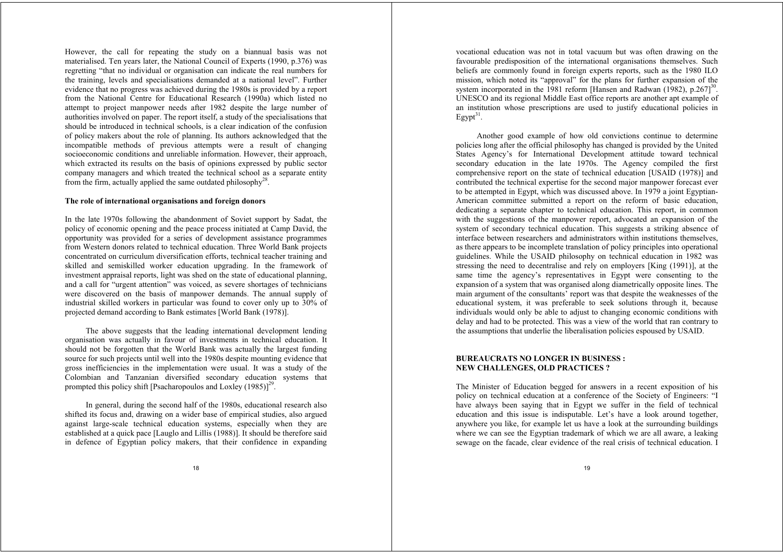However, the call for repeating the study on a biannual basis was not materialised. Ten years later, the National Council of Experts (1990, p.376) was regretting "that no individual or organisation can indicate the real numbers for the training, levels and specialisations demanded at a national level". Further evidence that no progress was achieved during the 1980s is provided by a report from the National Centre for Educational Research (1990a) which listed no attempt to project manpower needs after 1982 despite the large number of authorities involved on paper. The report itself, a study of the specialisations that should be introduced in technical schools, is a clear indication of the confusion of policy makers about the role of planning. Its authors acknowledged that the incompatible methods of previous attempts were a result of changing socioeconomic conditions and unreliable information. However, their approach, which extracted its results on the basis of opinions expressed by public sector company managers and which treated the technical school as a separate entity from the firm, actually applied the same outdated philosophy<sup>28</sup>.

#### **The role of international organisations and foreign donors**

In the late 1970s following the abandonment of Soviet support by Sadat, the policy of economic opening and the peace process initiated at Camp David, the opportunity was provided for a series of development assistance programmes from Western donors related to technical education. Three World Bank projects concentrated on curriculum diversification efforts, technical teacher training and skilled and semiskilled worker education upgrading. In the framework of investment appraisal reports, light was shed on the state of educational planning, and a call for "urgent attention" was voiced, as severe shortages of technicians were discovered on the basis of manpower demands. The annual supply of industrial skilled workers in particular was found to cover only up to 30% of projected demand according to Bank estimates [World Bank (1978)].

The above suggests that the leading international development lending organisation was actually in favour of investments in technical education. It should not be forgotten that the World Bank was actually the largest funding source for such projects until well into the 1980s despite mounting evidence that gross inefficiencies in the implementation were usual. It was a study of the Colombian and Tanzanian diversified secondary education systems that prompted this policy shift [Psacharopoulos and Loxley  $(1985)$ ]<sup>29</sup>.

In general, during the second half of the 1980s, educational research also shifted its focus and, drawing on a wider base of empirical studies, also argued against large-scale technical education systems, especially when they are established at a quick pace [Lauglo and Lillis (1988)]. It should be therefore said in defence of Egyptian policy makers, that their confidence in expanding

vocational education was not in total vacuum but was often drawing on the favourable predisposition of the international organisations themselves. Such beliefs are commonly found in foreign experts reports, such as the 1980 ILO mission, which noted its "approval" for the plans for further expansion of the system incorporated in the 1981 reform [Hansen and Radwan  $(1982)$ , p.267]<sup>30</sup>. UNESCO and its regional Middle East office reports are another apt example of an institution whose prescriptions are used to justify educational policies in  $E$ gypt $31$ .

Another good example of how old convictions continue to determine policies long after the official philosophy has changed is provided by the United States Agency's for International Development attitude toward technical secondary education in the late 1970s. The Agency compiled the first comprehensive report on the state of technical education [USAID (1978)] and contributed the technical expertise for the second major manpower forecast ever to be attempted in Egypt, which was discussed above. In 1979 a joint Egyptian-American committee submitted a report on the reform of basic education, dedicating a separate chapter to technical education. This report, in common with the suggestions of the manpower report, advocated an expansion of the system of secondary technical education. This suggests a striking absence of interface between researchers and administrators within institutions themselves, as there appears to be incomplete translation of policy principles into operational guidelines. While the USAID philosophy on technical education in 1982 was stressing the need to decentralise and rely on employers [King (1991)], at the same time the agency's representatives in Egypt were consenting to the expansion of a system that was organised along diametrically opposite lines. The main argument of the consultants' report was that despite the weaknesses of the educational system, it was preferable to seek solutions through it, because individuals would only be able to adjust to changing economic conditions with delay and had to be protected. This was a view of the world that ran contrary to the assumptions that underlie the liberalisation policies espoused by USAID.

# **BUREAUCRATS NO LONGER IN BUSINESS : NEW CHALLENGES, OLD PRACTICES ?**

The Minister of Education begged for answers in a recent exposition of his policy on technical education at a conference of the Society of Engineers: "I have always been saying that in Egypt we suffer in the field of technical education and this issue is indisputable. Let's have a look around together, anywhere you like, for example let us have a look at the surrounding buildings where we can see the Egyptian trademark of which we are all aware, a leaking sewage on the facade, clear evidence of the real crisis of technical education. I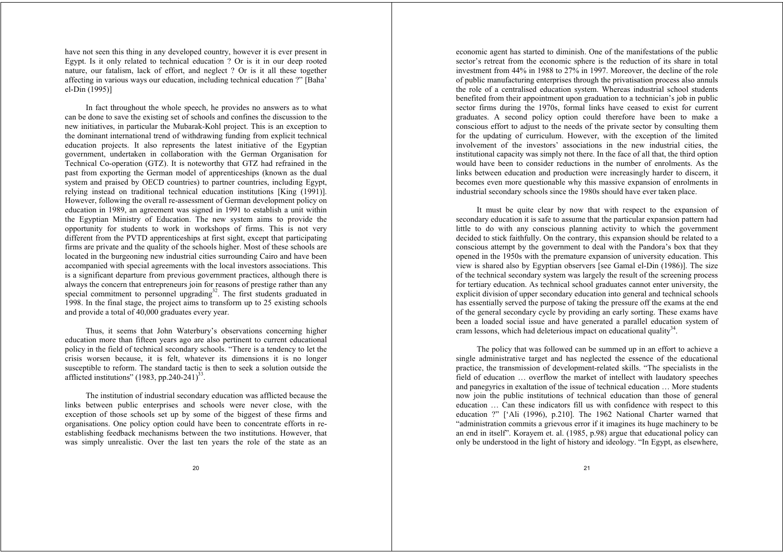have not seen this thing in any developed country, however it is ever present in Egypt. Is it only related to technical education ? Or is it in our deep rooted nature, our fatalism, lack of effort, and neglect ? Or is it all these together affecting in various ways our education, including technical education ?" [Baha' el-Din (1995)]

In fact throughout the whole speech, he provides no answers as to what can be done to save the existing set of schools and confines the discussion to the new initiatives, in particular the Mubarak-Kohl project. This is an exception to the dominant international trend of withdrawing funding from explicit technical education projects. It also represents the latest initiative of the Egyptian government, undertaken in collaboration with the German Organisation for Technical Co-operation (GTZ). It is noteworthy that GTZ had refrained in the past from exporting the German model of apprenticeships (known as the dual system and praised by OECD countries) to partner countries, including Egypt, relying instead on traditional technical education institutions [King (1991)]. However, following the overall re-assessment of German development policy on education in 1989, an agreement was signed in 1991 to establish a unit within the Egyptian Ministry of Education. The new system aims to provide the opportunity for students to work in workshops of firms. This is not very different from the PVTD apprenticeships at first sight, except that participating firms are private and the quality of the schools higher. Most of these schools are located in the burgeoning new industrial cities surrounding Cairo and have been accompanied with special agreements with the local investors associations. This is a significant departure from previous government practices, although there is always the concern that entrepreneurs join for reasons of prestige rather than any special commitment to personnel upgrading $32$ . The first students graduated in 1998. In the final stage, the project aims to transform up to 25 existing schools and provide a total of 40,000 graduates every year.

Thus, it seems that John Waterbury's observations concerning higher education more than fifteen years ago are also pertinent to current educational policy in the field of technical secondary schools. "There is a tendency to let the crisis worsen because, it is felt, whatever its dimensions it is no longer susceptible to reform. The standard tactic is then to seek a solution outside the afflicted institutions" (1983, pp. 240-241) $33$ .

The institution of industrial secondary education was afflicted because the links between public enterprises and schools were never close, with the exception of those schools set up by some of the biggest of these firms and organisations. One policy option could have been to concentrate efforts in reestablishing feedback mechanisms between the two institutions. However, that was simply unrealistic. Over the last ten years the role of the state as an

economic agent has started to diminish. One of the manifestations of the public sector's retreat from the economic sphere is the reduction of its share in total investment from 44% in 1988 to 27% in 1997. Moreover, the decline of the role of public manufacturing enterprises through the privatisation process also annuls the role of a centralised education system. Whereas industrial school students benefited from their appointment upon graduation to a technician's job in public sector firms during the 1970s, formal links have ceased to exist for current graduates. A second policy option could therefore have been to make a conscious effort to adjust to the needs of the private sector by consulting them for the updating of curriculum. However, with the exception of the limited involvement of the investors' associations in the new industrial cities, the institutional capacity was simply not there. In the face of all that, the third option would have been to consider reductions in the number of enrolments. As the links between education and production were increasingly harder to discern, it becomes even more questionable why this massive expansion of enrolments in industrial secondary schools since the 1980s should have ever taken place.

It must be quite clear by now that with respect to the expansion of secondary education it is safe to assume that the particular expansion pattern had little to do with any conscious planning activity to which the government decided to stick faithfully. On the contrary, this expansion should be related to a conscious attempt by the government to deal with the Pandora's box that they opened in the 1950s with the premature expansion of university education. This view is shared also by Egyptian observers [see Gamal el-Din (1986)]. The size of the technical secondary system was largely the result of the screening process for tertiary education. As technical school graduates cannot enter university, the explicit division of upper secondary education into general and technical schools has essentially served the purpose of taking the pressure off the exams at the end of the general secondary cycle by providing an early sorting. These exams have been a loaded social issue and have generated a parallel education system of cram lessons, which had deleterious impact on educational quality $34$ .

The policy that was followed can be summed up in an effort to achieve a single administrative target and has neglected the essence of the educational practice, the transmission of development-related skills. "The specialists in the field of education … overflow the market of intellect with laudatory speeches and panegyrics in exaltation of the issue of technical education … More students now join the public institutions of technical education than those of general education … Can these indicators fill us with confidence with respect to this education ?" ['Ali (1996), p.210]. The 1962 National Charter warned that "administration commits a grievous error if it imagines its huge machinery to be an end in itself". Korayem et. al. (1985, p.98) argue that educational policy can only be understood in the light of history and ideology. "In Egypt, as elsewhere,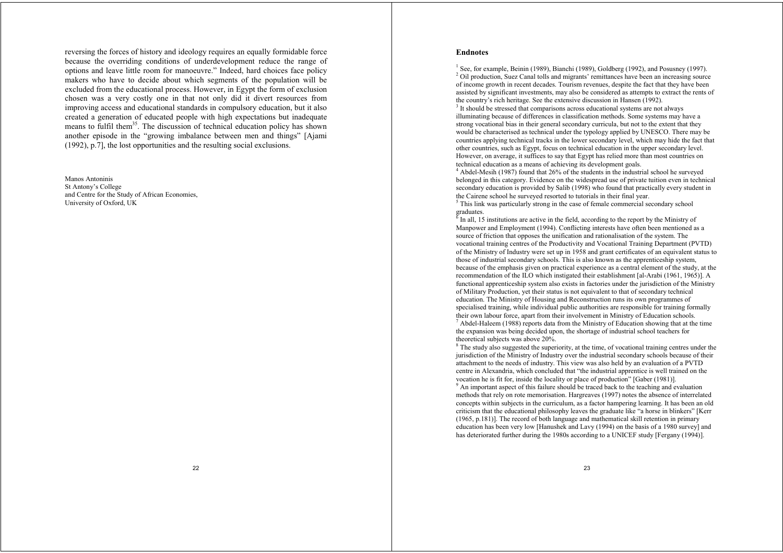reversing the forces of history and ideology requires an equally formidable force because the overriding conditions of underdevelopment reduce the range of options and leave little room for manoeuvre." Indeed, hard choices face policy makers who have to decide about which segments of the population will be excluded from the educational process. However, in Egypt the form of exclusion chosen was a very costly one in that not only did it divert resources from improving access and educational standards in compulsory education, but it also created a generation of educated people with high expectations but inadequate means to fulfil them<sup>35</sup>. The discussion of technical education policy has shown another episode in the "growing imbalance between men and things" [Ajami (1992), p.7], the lost opportunities and the resulting social exclusions.

Manos Antoninis St Antony's College and Centre for the Study of African Economies, University of Oxford, UK

## **Endnotes**

 $<sup>1</sup>$  See, for example, Beinin (1989), Bianchi (1989), Goldberg (1992), and Posusney (1997).</sup> <sup>2</sup> Oil production, Suez Canal tolls and migrants' remittances have been an increasing source of income growth in recent decades. Tourism revenues, despite the fact that they have been assisted by significant investments, may also be considered as attempts to extract the rents of the country's rich heritage. See the extensive discussion in Hansen (1992).

<sup>3</sup> It should be stressed that comparisons across educational systems are not always illuminating because of differences in classification methods. Some systems may have a strong vocational bias in their general secondary curricula, but not to the extent that they would be characterised as technical under the typology applied by UNESCO. There may be countries applying technical tracks in the lower secondary level, which may hide the fact that other countries, such as Egypt, focus on technical education in the upper secondary level. However, on average, it suffices to say that Egypt has relied more than most countries on technical education as a means of achieving its development goals.

 $4$  Abdel-Mesih (1987) found that 26% of the students in the industrial school he surveyed belonged in this category. Evidence on the widespread use of private tuition even in technical secondary education is provided by Salib (1998) who found that practically every student in the Cairene school he surveyed resorted to tutorials in their final year.

<sup>5</sup> This link was particularly strong in the case of female commercial secondary school graduates.

 $\delta$  In all, 15 institutions are active in the field, according to the report by the Ministry of Manpower and Employment (1994). Conflicting interests have often been mentioned as a source of friction that opposes the unification and rationalisation of the system. The vocational training centres of the Productivity and Vocational Training Department (PVTD) of the Ministry of Industry were set up in 1958 and grant certificates of an equivalent status to those of industrial secondary schools. This is also known as the apprenticeship system, because of the emphasis given on practical experience as a central element of the study, at the recommendation of the ILO which instigated their establishment [al-Arabi (1961, 1965)]. A functional apprenticeship system also exists in factories under the jurisdiction of the Ministry of Military Production, yet their status is not equivalent to that of secondary technical education. The Ministry of Housing and Reconstruction runs its own programmes of specialised training, while individual public authorities are responsible for training formally their own labour force, apart from their involvement in Ministry of Education schools.  $<sup>7</sup>$  Abdel-Haleem (1988) reports data from the Ministry of Education showing that at the time</sup> the expansion was being decided upon, the shortage of industrial school teachers for theoretical subjects was above 20%.

<sup>8</sup> The study also suggested the superiority, at the time, of vocational training centres under the jurisdiction of the Ministry of Industry over the industrial secondary schools because of their attachment to the needs of industry. This view was also held by an evaluation of a PVTD centre in Alexandria, which concluded that "the industrial apprentice is well trained on the vocation he is fit for, inside the locality or place of production" [Gaber (1981)]. 9 An important aspect of this failure should be traced back to the teaching and evaluation methods that rely on rote memorisation. Hargreaves (1997) notes the absence of interrelated concepts within subjects in the curriculum, as a factor hampering learning. It has been an old criticism that the educational philosophy leaves the graduate like "a horse in blinkers" [Kerr (1965, p.181)]. The record of both language and mathematical skill retention in primary education has been very low [Hanushek and Lavy (1994) on the basis of a 1980 survey] and has deteriorated further during the 1980s according to a UNICEF study [Fergany (1994)].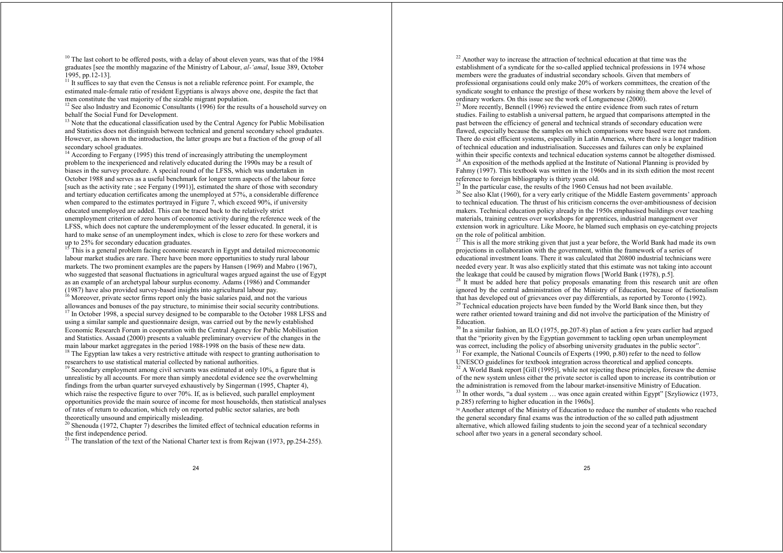<sup>10</sup> The last cohort to be offered posts, with a delay of about eleven years, was that of the 1984 graduates [see the monthly magazine of the Ministry of Labour, *al-'amal*, Issue 389, October 1995, pp.12-13].

<sup>11</sup> It suffices to say that even the Census is not a reliable reference point. For example, the estimated male-female ratio of resident Egyptians is always above one, despite the fact that men constitute the vast majority of the sizable migrant population.

<sup>12</sup> See also Industry and Economic Consultants (1996) for the results of a household survey on behalf the Social Fund for Development.

 $13$  Note that the educational classification used by the Central Agency for Public Mobilisation and Statistics does not distinguish between technical and general secondary school graduates. However, as shown in the introduction, the latter groups are but a fraction of the group of all secondary school graduates.

<sup>14</sup> According to Fergany (1995) this trend of increasingly attributing the unemployment problem to the inexperienced and relatively educated during the 1990s may be a result of biases in the survey procedure. A special round of the LFSS, which was undertaken in October 1988 and serves as a useful benchmark for longer term aspects of the labour force [such as the activity rate ; see Fergany (1991)], estimated the share of those with secondary and tertiary education certificates among the unemployed at 57%, a considerable difference when compared to the estimates portrayed in Figure 7, which exceed 90%, if university educated unemployed are added. This can be traced back to the relatively strict unemployment criterion of zero hours of economic activity during the reference week of the LFSS, which does not capture the underemployment of the lesser educated. In general, it is hard to make sense of an unemployment index, which is close to zero for these workers and up to 25% for secondary education graduates.

 $15$ <sup>15</sup> This is a general problem facing economic research in Egypt and detailed microeconomic labour market studies are rare. There have been more opportunities to study rural labour markets. The two prominent examples are the papers by Hansen (1969) and Mabro (1967), who suggested that seasonal fluctuations in agricultural wages argued against the use of Egypt as an example of an archetypal labour surplus economy. Adams (1986) and Commander (1987) have also provided survey-based insights into agricultural labour pay.

<sup>16</sup> Moreover, private sector firms report only the basic salaries paid, and not the various allowances and bonuses of the pay structure, to minimise their social security contributions.

 $17$  In October 1998, a special survey designed to be comparable to the October 1988 LFSS and using a similar sample and questionnaire design, was carried out by the newly established Economic Research Forum in cooperation with the Central Agency for Public Mobilisation and Statistics. Assaad (2000) presents a valuable preliminary overview of the changes in the main labour market aggregates in the period 1988-1998 on the basis of these new data.

<sup>18</sup> The Egyptian law takes a very restrictive attitude with respect to granting authorisation to researchers to use statistical material collected by national authorities.

<sup>19</sup> Secondary employment among civil servants was estimated at only  $10\%$ , a figure that is unrealistic by all accounts. For more than simply anecdotal evidence see the overwhelming findings from the urban quarter surveyed exhaustively by Singerman (1995, Chapter 4), which raise the respective figure to over 70%. If, as is believed, such parallel employment opportunities provide the main source of income for most households, then statistical analyses of rates of return to education, which rely on reported public sector salaries, are both theoretically unsound and empirically misleading.

<sup>20</sup> Shenouda (1972, Chapter  $\overline{7}$ ) describes the limited effect of technical education reforms in the first independence period.

<sup>21</sup> The translation of the text of the National Charter text is from Rejwan (1973, pp. 254-255).

<sup>22</sup> Another way to increase the attraction of technical education at that time was the establishment of a syndicate for the so-called applied technical professions in 1974 whose members were the graduates of industrial secondary schools. Given that members of professional organisations could only make 20% of workers committees, the creation of the syndicate sought to enhance the prestige of these workers by raising them above the level of ordinary workers. On this issue see the work of Longuenesse (2000).

 $23$  More recently, Bennell (1996) reviewed the entire evidence from such rates of return studies. Failing to establish a universal pattern, he argued that comparisons attempted in the past between the efficiency of general and technical strands of secondary education were flawed, especially because the samples on which comparisons were based were not random. There do exist efficient systems, especially in Latin America, where there is a longer tradition of technical education and industrialisation. Successes and failures can only be explained within their specific contexts and technical education systems cannot be altogether dismissed.  $24$  An exposition of the methods applied at the Institute of National Planning is provided by Fahmy (1997). This textbook was written in the 1960s and in its sixth edition the most recent reference to foreign bibliography is thirty years old.

 $25$  In the particular case, the results of the 1960 Census had not been available.

<sup>26</sup> See also Klat (1960), for a very early critique of the Middle Eastern governments' approach to technical education. The thrust of his criticism concerns the over-ambitiousness of decision makers. Technical education policy already in the 1950s emphasised buildings over teaching materials, training centres over workshops for apprentices, industrial management over extension work in agriculture. Like Moore, he blamed such emphasis on eye-catching projects on the role of political ambition.

 $27$  This is all the more striking given that just a year before, the World Bank had made its own projections in collaboration with the government, within the framework of a series of educational investment loans. There it was calculated that 20800 industrial technicians were needed every year. It was also explicitly stated that this estimate was not taking into account the leakage that could be caused by migration flows [World Bank (1978), p.5].

<sup>28</sup> It must be added here that policy proposals emanating from this research unit are often ignored by the central administration of the Ministry of Education, because of factionalism that has developed out of grievances over pay differentials, as reported by Toronto (1992).

<sup>29</sup> Technical education projects have been funded by the World Bank since then, but they were rather oriented toward training and did not involve the participation of the Ministry of Education.

 $30$  In a similar fashion, an ILO (1975, pp.207-8) plan of action a few years earlier had argued that the "priority given by the Egyptian government to tackling open urban unemployment was correct, including the policy of absorbing university graduates in the public sector". <sup>31</sup> For example, the National Councils of Experts (1990, p.80) refer to the need to follow

UNESCO guidelines for textbook integration across theoretical and applied concepts.  $32$  A World Bank report [Gill (1995)], while not rejecting these principles, foresaw the demise

of the new system unless either the private sector is called upon to increase its contribution or the administration is removed from the labour market-insensitive Ministry of Education.

<sup>33</sup> In other words, "a dual system ... was once again created within Egypt" [Szyliowicz (1973, p.285) referring to higher education in the 1960s].

<sup>34</sup> Another attempt of the Ministry of Education to reduce the number of students who reached the general secondary final exams was the introduction of the so called path adjustment alternative, which allowed failing students to join the second year of a technical secondary school after two years in a general secondary school.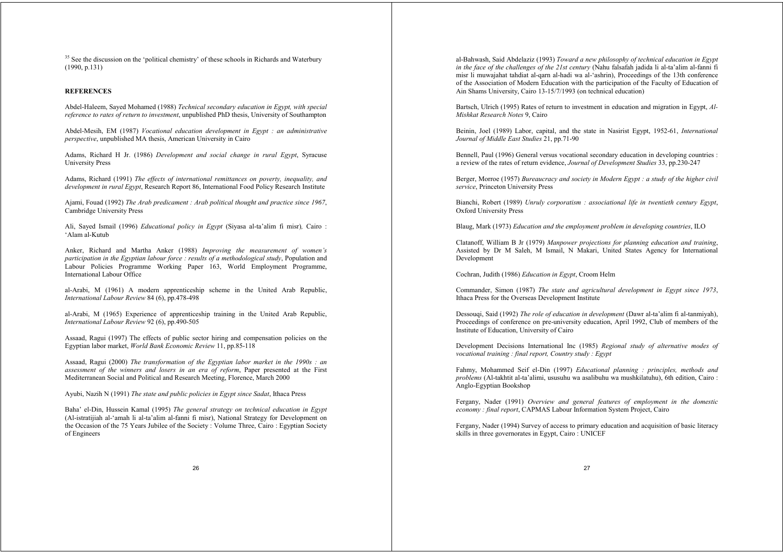<sup>35</sup> See the discussion on the 'political chemistry' of these schools in Richards and Waterbury (1990, p.131)

#### **REFERENCES**

Abdel-Haleem, Sayed Mohamed (1988) *Technical secondary education in Egypt, with special reference to rates of return to investment*, unpublished PhD thesis, University of Southampton

Abdel-Mesih, EM (1987) *Vocational education development in Egypt : an administrative perspective*, unpublished MA thesis, American University in Cairo

Adams, Richard H Jr. (1986) *Development and social change in rural Egypt*, Syracuse University Press

Adams, Richard (1991) *The effects of international remittances on poverty, inequality, and development in rural Egypt*, Research Report 86, International Food Policy Research Institute

Ajami, Fouad (1992) *The Arab predicament : Arab political thought and practice since 1967*, Cambridge University Press

Ali, Sayed Ismail (1996) *Educational policy in Egypt* (Siyasa al-ta'alim fi misr)*,* Cairo : 'Alam al-Kutub

Anker, Richard and Martha Anker (1988) *Improving the measurement of women's participation in the Egyptian labour force : results of a methodological study*, Population and Labour Policies Programme Working Paper 163, World Employment Programme, International Labour Office

al-Arabi, M (1961) A modern apprenticeship scheme in the United Arab Republic, *International Labour Review* 84 (6), pp.478-498

al-Arabi, M (1965) Experience of apprenticeship training in the United Arab Republic, *International Labour Review* 92 (6), pp.490-505

Assaad, Ragui (1997) The effects of public sector hiring and compensation policies on the Egyptian labor market, *World Bank Economic Review* 11, pp.85-118

Assaad, Ragui (2000) *The transformation of the Egyptian labor market in the 1990s : an assessment of the winners and losers in an era of reform*, Paper presented at the First Mediterranean Social and Political and Research Meeting, Florence, March 2000

Ayubi, Nazih N (1991) *The state and public policies in Egypt since Sadat*, Ithaca Press

Baha' el-Din, Hussein Kamal (1995) *The general strategy on technical education in Egypt* (Al-istratijiah al-'amah li al-ta'alim al-fanni fi misr), National Strategy for Development on the Occasion of the 75 Years Jubilee of the Society : Volume Three, Cairo : Egyptian Society of Engineers

al-Bahwash, Said Abdelaziz (1993) *Toward a new philosophy of technical education in Egypt in the face of the challenges of the 21st century* (Nahu falsafah jadida li al-ta'alim al-fanni fi misr li muwajahat tahdiat al-qarn al-hadi wa al-'ashrin), Proceedings of the 13th conference of the Association of Modern Education with the participation of the Faculty of Education of Ain Shams University, Cairo 13-15/7/1993 (on technical education)

Bartsch, Ulrich (1995) Rates of return to investment in education and migration in Egypt, *Al-Mishkat Research Notes* 9, Cairo

Beinin, Joel (1989) Labor, capital, and the state in Nasirist Egypt, 1952-61, *International Journal of Middle East Studies* 21, pp.71-90

Bennell, Paul (1996) General versus vocational secondary education in developing countries : a review of the rates of return evidence, *Journal of Development Studies* 33, pp.230-247

Berger, Morroe (1957) *Bureaucracy and society in Modern Egypt : a study of the higher civil service*, Princeton University Press

Bianchi, Robert (1989) *Unruly corporatism : associational life in twentieth century Egypt*, Oxford University Press

Blaug, Mark (1973) *Education and the employment problem in developing countries*, ILO

Clatanoff, William B Jr (1979) *Manpower projections for planning education and training*, Assisted by Dr M Saleh, M Ismail, N Makari, United States Agency for International Development

Cochran, Judith (1986) *Education in Egypt*, Croom Helm

Commander, Simon (1987) *The state and agricultural development in Egypt since 1973*, Ithaca Press for the Overseas Development Institute

Dessouqi, Said (1992) *The role of education in development* (Dawr al-ta'alim fi al-tanmiyah), Proceedings of conference on pre-university education, April 1992, Club of members of the Institute of Education, University of Cairo

Development Decisions International Inc (1985) *Regional study of alternative modes of vocational training : final report, Country study : Egypt*

Fahmy, Mohammed Seif el-Din (1997) *Educational planning : principles, methods and problems* (Al-takhtit al-ta'alimi, ususuhu wa asalibuhu wa mushkilatuhu), 6th edition, Cairo : Anglo-Egyptian Bookshop

Fergany, Nader (1991) *Overview and general features of employment in the domestic economy : final report*, CAPMAS Labour Information System Project, Cairo

Fergany, Nader (1994) Survey of access to primary education and acquisition of basic literacy skills in three governorates in Egypt, Cairo : UNICEF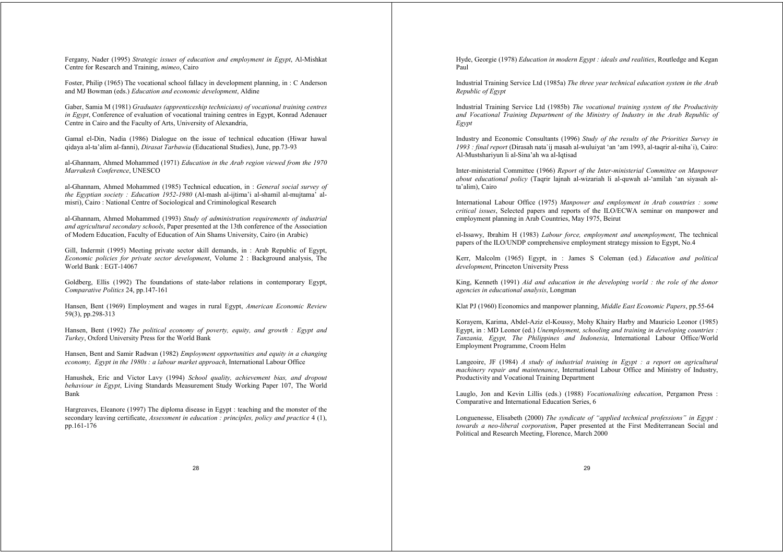Fergany, Nader (1995) *Strategic issues of education and employment in Egypt*, Al-Mishkat Centre for Research and Training, *mimeo*, Cairo

Foster, Philip (1965) The vocational school fallacy in development planning, in : C Anderson and MJ Bowman (eds.) *Education and economic development*, Aldine

Gaber, Samia M (1981) *Graduates (apprenticeship technicians) of vocational training centres in Egypt*, Conference of evaluation of vocational training centres in Egypt, Konrad Adenauer Centre in Cairo and the Faculty of Arts, University of Alexandria,

Gamal el-Din, Nadia (1986) Dialogue on the issue of technical education (Hiwar hawal qidaya al-ta'alim al-fanni), *Dirasat Tarbawia* (Educational Studies), June, pp.73-93

al-Ghannam, Ahmed Mohammed (1971) *Education in the Arab region viewed from the 1970 Marrakesh Conference*, UNESCO

al-Ghannam, Ahmed Mohammed (1985) Technical education, in : *General social survey of the Egyptian society : Education 1952-1980* (Al-mash al-ijtima'i al-shamil al-mujtama' almisri), Cairo : National Centre of Sociological and Criminological Research

al-Ghannam, Ahmed Mohammed (1993) *Study of administration requirements of industrial and agricultural secondary schools*, Paper presented at the 13th conference of the Association of Modern Education, Faculty of Education of Ain Shams University, Cairo (in Arabic)

Gill, Indermit (1995) Meeting private sector skill demands, in : Arab Republic of Egypt, *Economic policies for private sector development*, Volume 2 : Background analysis, The World Bank : EGT-14067

Goldberg, Ellis (1992) The foundations of state-labor relations in contemporary Egypt, *Comparative Politics* 24, pp.147-161

Hansen, Bent (1969) Employment and wages in rural Egypt, *American Economic Review* 59(3), pp.298-313

Hansen, Bent (1992) *The political economy of poverty, equity, and growth : Egypt and Turkey*, Oxford University Press for the World Bank

Hansen, Bent and Samir Radwan (1982) *Employment opportunities and equity in a changing economy, Egypt in the 1980s : a labour market approach*, International Labour Office

Hanushek, Eric and Victor Lavy (1994) *School quality, achievement bias, and dropout behaviour in Egypt*, Living Standards Measurement Study Working Paper 107, The World Bank

Hargreaves, Eleanore (1997) The diploma disease in Egypt : teaching and the monster of the secondary leaving certificate, *Assessment in education : principles, policy and practice* 4 (1), pp.161-176

Hyde, Georgie (1978) *Education in modern Egypt : ideals and realities*, Routledge and Kegan Paul

Industrial Training Service Ltd (1985a) *The three year technical education system in the Arab Republic of Egypt*

Industrial Training Service Ltd (1985b) *The vocational training system of the Productivity and Vocational Training Department of the Ministry of Industry in the Arab Republic of Egypt*

Industry and Economic Consultants (1996) *Study of the results of the Priorities Survey in 1993 : final report* (Dirasah nata`ij masah al-wuluiyat 'an 'am 1993, al-taqrir al-niha`i), Cairo: Al-Mustshariyun li al-Sina'ah wa al-Iqtisad

Inter-ministerial Committee (1966) *Report of the Inter-ministerial Committee on Manpower about educational policy* (Taqrir lajnah al-wizariah li al-quwah al-'amilah 'an siyasah alta'alim), Cairo

International Labour Office (1975) *Manpower and employment in Arab countries : some critical issues*, Selected papers and reports of the ILO/ECWA seminar on manpower and employment planning in Arab Countries, May 1975, Beirut

el-Issawy, Ibrahim H (1983) *Labour force, employment and unemployment*, The technical papers of the ILO/UNDP comprehensive employment strategy mission to Egypt, No.4

Kerr, Malcolm (1965) Egypt, in : James S Coleman (ed.) *Education and political development*, Princeton University Press

King, Kenneth (1991) *Aid and education in the developing world : the role of the donor agencies in educational analysis*, Longman

Klat PJ (1960) Economics and manpower planning, *Middle East Economic Papers*, pp.55-64

Korayem, Karima, Abdel-Aziz el-Koussy, Mohy Khairy Harby and Mauricio Leonor (1985) Egypt, in : MD Leonor (ed.) *Unemployment, schooling and training in developing countries : Tanzania, Egypt, The Philippines and Indonesia*, International Labour Office/World Employment Programme, Croom Helm

Langeoire, JF (1984) *A study of industrial training in Egypt : a report on agricultural machinery repair and maintenance*, International Labour Office and Ministry of Industry, Productivity and Vocational Training Department

Lauglo, Jon and Kevin Lillis (eds.) (1988) *Vocationalising education*, Pergamon Press : Comparative and International Education Series, 6

Longuenesse, Elisabeth (2000) *The syndicate of "applied technical professions" in Egypt : towards a neo-liberal corporatism*, Paper presented at the First Mediterranean Social and Political and Research Meeting, Florence, March 2000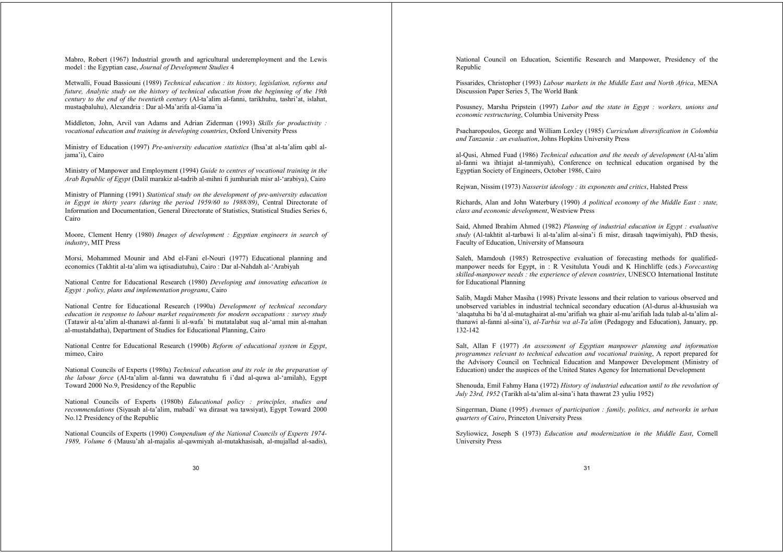Mabro, Robert (1967) Industrial growth and agricultural underemployment and the Lewis model : the Egyptian case, *Journal of Development Studies* 4

Metwalli, Fouad Bassiouni (1989) *Technical education : its history, legislation, reforms and future, Analytic study on the history of technical education from the beginning of the 19th century to the end of the twentieth century* (Al-ta'alim al-fanni, tarikhuhu, tashri'at, islahat, mustaqbaluhu), Alexandria : Dar al-Ma'arifa al-Gama'ia

Middleton, John, Arvil van Adams and Adrian Ziderman (1993) *Skills for productivity : vocational education and training in developing countries*, Oxford University Press

Ministry of Education (1997) *Pre-university education statistics* (Ihsa'at al-ta'alim qabl aljama'i), Cairo

Ministry of Manpower and Employment (1994) *Guide to centres of vocational training in the Arab Republic of Egypt* (Dalil marakiz al-tadrib al-mihni fi jumhuriah misr al-'arabiya), Cairo

Ministry of Planning (1991) *Statistical study on the development of pre-university education in Egypt in thirty years (during the period 1959/60 to 1988/89)*, Central Directorate of Information and Documentation, General Directorate of Statistics, Statistical Studies Series 6, Cairo

Moore, Clement Henry (1980) *Images of development : Egyptian engineers in search of industry*, MIT Press

Morsi, Mohammed Mounir and Abd el-Fani el-Nouri (1977) Educational planning and economics (Takhtit al-ta'alim wa iqtisadiatuhu), Cairo : Dar al-Nahdah al-'Arabiyah

National Centre for Educational Research (1980) *Developing and innovating education in Egypt : policy, plans and implementation programs*, Cairo

National Centre for Educational Research (1990a) *Development of technical secondary education in response to labour market requirements for modern occupations : survey study* (Tatawir al-ta'alim al-thanawi al-fanni li al-wafa` bi mutatalabat suq al-'amal min al-mahan al-mustahdatha), Department of Studies for Educational Planning, Cairo

National Centre for Educational Research (1990b) *Reform of educational system in Egypt*, mimeo, Cairo

National Councils of Experts (1980a) *Technical education and its role in the preparation of the labour force* (Al-ta'alim al-fanni wa dawratuhu fi i'dad al-quwa al-'amilah), Egypt Toward 2000 No.9, Presidency of the Republic

National Councils of Experts (1980b) *Educational policy : principles, studies and recommendations* (Siyasah al-ta'alim, mabadi` wa dirasat wa tawsiyat), Egypt Toward 2000 No.12 Presidency of the Republic

National Councils of Experts (1990) *Compendium of the National Councils of Experts 1974- 1989, Volume 6* (Mausu'ah al-majalis al-qawmiyah al-mutakhasisah, al-mujallad al-sadis), National Council on Education, Scientific Research and Manpower, Presidency of the Republic

Pissarides, Christopher (1993) *Labour markets in the Middle East and North Africa*, MENA Discussion Paper Series 5, The World Bank

Posusney, Marsha Pripstein (1997) *Labor and the state in Egypt : workers, unions and economic restructuring*, Columbia University Press

Psacharopoulos, George and William Loxley (1985) *Curriculum diversification in Colombia and Tanzania : an evaluation*, Johns Hopkins University Press

al-Qusi, Ahmed Fuad (1986) *Technical education and the needs of development* (Al-ta'alim al-fanni wa ihtiajat al-tanmiyah), Conference on technical education organised by the Egyptian Society of Engineers, October 1986, Cairo

Rejwan, Nissim (1973) *Nasserist ideology : its exponents and critics*, Halsted Press

Richards, Alan and John Waterbury (1990) *A political economy of the Middle East : state, class and economic development*, Westview Press

Said, Ahmed Ibrahim Ahmed (1982) *Planning of industrial education in Egypt : evaluative study* (Al-takhtit al-tarbawi li al-ta'alim al-sina'i fi misr, dirasah taqwimiyah), PhD thesis, Faculty of Education, University of Mansoura

Saleh, Mamdouh (1985) Retrospective evaluation of forecasting methods for qualifiedmanpower needs for Egypt, in : R Vesituluta Youdi and K Hinchliffe (eds.) *Forecasting skilled-manpower needs : the experience of eleven countries*, UNESCO International Institute for Educational Planning

Salib, Magdi Maher Masiha (1998) Private lessons and their relation to various observed and unobserved variables in industrial technical secondary education (Al-durus al-khususiah wa 'alaqatuha bi ba'd al-mutaghairat al-mu'arifiah wa ghair al-mu'arifiah lada tulab al-ta'alim althanawi al-fanni al-sina'i), *al-Tarbia wa al-Ta'alim* (Pedagogy and Education), January, pp. 132-142

Salt, Allan F (1977) *An assessment of Egyptian manpower planning and information programmes relevant to technical education and vocational training*, A report prepared for the Advisory Council on Technical Education and Manpower Development (Ministry of Education) under the auspices of the United States Agency for International Development

Shenouda, Emil Fahmy Hana (1972) *History of industrial education until to the revolution of July 23rd, 1952* (Tarikh al-ta'alim al-sina'i hata thawrat 23 yuliu 1952)

Singerman, Diane (1995) *Avenues of participation : family, politics, and networks in urban quarters of Cairo*, Princeton University Press

Szyliowicz, Joseph S (1973) *Education and modernization in the Middle East*, Cornell University Press